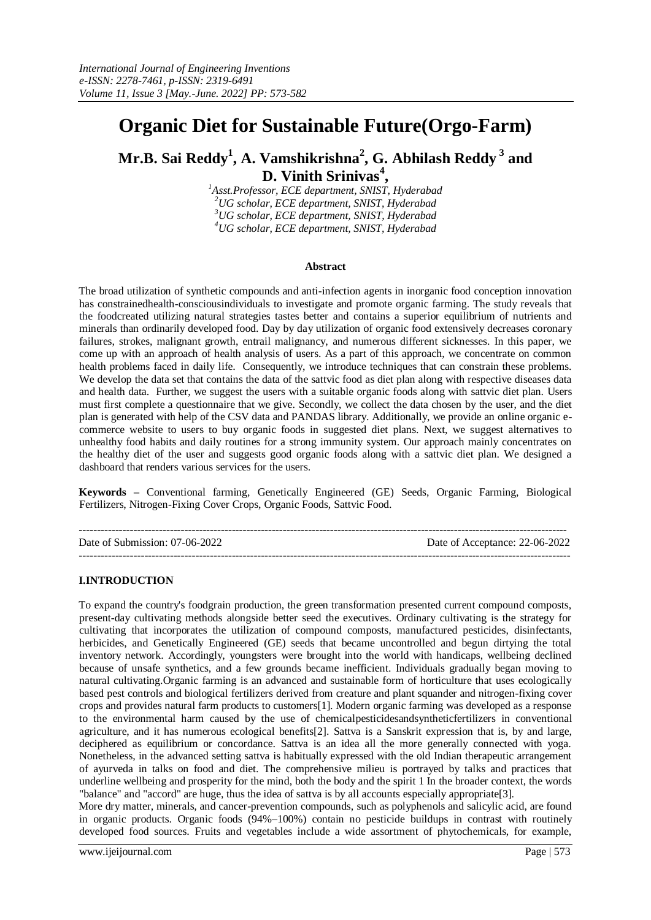# **Organic Diet for Sustainable Future(Orgo-Farm)**

## **Mr.B. Sai Reddy<sup>1</sup> , A. Vamshikrishna<sup>2</sup> , G. Abhilash Reddy <sup>3</sup> and D. Vinith Srinivas<sup>4</sup> ,**

*Asst.Professor, ECE department, SNIST, Hyderabad UG scholar, ECE department, SNIST, Hyderabad UG scholar, ECE department, SNIST, Hyderabad UG scholar, ECE department, SNIST, Hyderabad*

## **Abstract**

The broad utilization of synthetic compounds and anti-infection agents in inorganic food conception innovation has constrainedhealth-consciousindividuals to investigate and promote organic farming. The study reveals that the foodcreated utilizing natural strategies tastes better and contains a superior equilibrium of nutrients and minerals than ordinarily developed food. Day by day utilization of organic food extensively decreases coronary failures, strokes, malignant growth, entrail malignancy, and numerous different sicknesses. In this paper, we come up with an approach of health analysis of users. As a part of this approach, we concentrate on common health problems faced in daily life. Consequently, we introduce techniques that can constrain these problems. We develop the data set that contains the data of the sattvic food as diet plan along with respective diseases data and health data. Further, we suggest the users with a suitable organic foods along with sattvic diet plan. Users must first complete a questionnaire that we give. Secondly, we collect the data chosen by the user, and the diet plan is generated with help of the CSV data and PANDAS library. Additionally, we provide an online organic ecommerce website to users to buy organic foods in suggested diet plans. Next, we suggest alternatives to unhealthy food habits and daily routines for a strong immunity system. Our approach mainly concentrates on the healthy diet of the user and suggests good organic foods along with a sattvic diet plan. We designed a dashboard that renders various services for the users.

**Keywords –** Conventional farming, Genetically Engineered (GE) Seeds, Organic Farming, Biological Fertilizers, Nitrogen-Fixing Cover Crops, Organic Foods, Sattvic Food.

-------------------------------------------------------------------------------------------------------------------------------------- Date of Submission: 07-06-2022 Date of Acceptance: 22-06-2022 ---------------------------------------------------------------------------------------------------------------------------------------

## **I.INTRODUCTION**

To expand the country's foodgrain production, the green transformation presented current compound composts, present-day cultivating methods alongside better seed the executives. Ordinary cultivating is the strategy for cultivating that incorporates the utilization of compound composts, manufactured pesticides, disinfectants, herbicides, and Genetically Engineered (GE) seeds that became uncontrolled and begun dirtying the total inventory network. Accordingly, youngsters were brought into the world with handicaps, wellbeing declined because of unsafe synthetics, and a few grounds became inefficient. Individuals gradually began moving to natural cultivating.Organic farming is an advanced and sustainable form of horticulture that uses ecologically based pest controls and biological fertilizers derived from creature and plant squander and nitrogen-fixing cover crops and provides natural farm products to customers[1]. Modern organic farming was developed as a response to the environmental harm caused by the use of chemica[lpesticidesa](https://www.britannica.com/technology/pesticide)n[dsyntheticf](https://www.merriam-webster.com/dictionary/synthetic)ertilizers in conventional agriculture, and it has numerous ecological benefits[2]. Sattva is a Sanskrit expression that is, by and large, deciphered as equilibrium or concordance. Sattva is an idea all the more generally connected with yoga. Nonetheless, in the advanced setting sattva is habitually expressed with the old Indian therapeutic arrangement of ayurveda in talks on food and diet. The comprehensive milieu is portrayed by talks and practices that underline wellbeing and prosperity for the mind, both the body and the spirit 1 In the broader context, the words "balance" and "accord" are huge, thus the idea of sattva is by all accounts especially appropriate[3].

More dry matter, minerals, and cancer-prevention compounds, such as polyphenols and salicylic acid, are found in organic products. Organic foods (94%–100%) contain no pesticide buildups in contrast with routinely developed food sources. Fruits and vegetables include a wide assortment of phytochemicals, for example,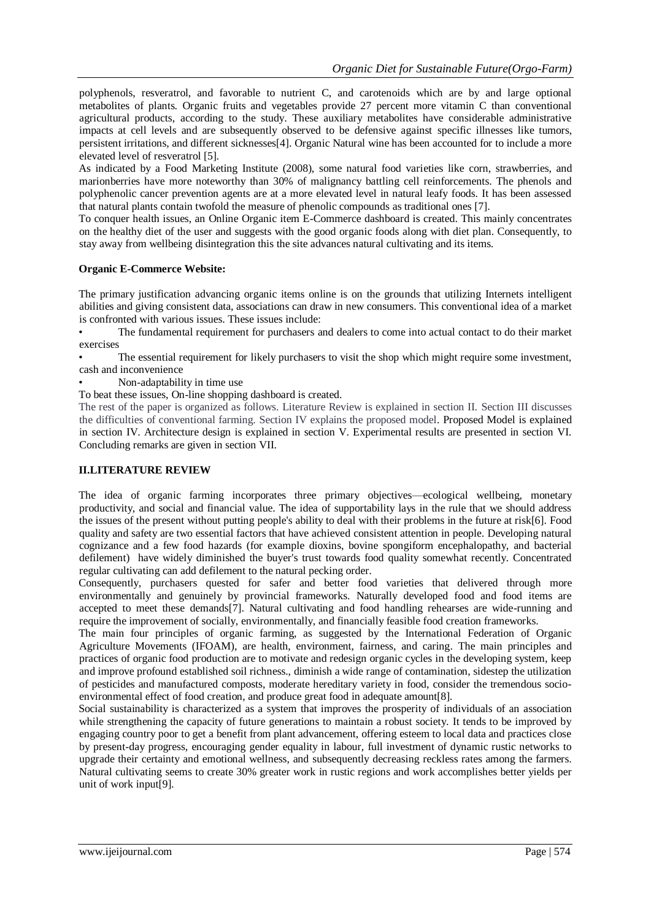polyphenols, resveratrol, and favorable to nutrient C, and carotenoids which are by and large optional metabolites of plants. Organic fruits and vegetables provide 27 percent more vitamin C than conventional agricultural products, according to the study. These auxiliary metabolites have considerable administrative impacts at cell levels and are subsequently observed to be defensive against specific illnesses like tumors, persistent irritations, and different sicknesses[4]. Organic Natural wine has been accounted for to include a more elevated level of resveratrol [5].

As indicated by a Food Marketing Institute (2008), some natural food varieties like corn, strawberries, and marionberries have more noteworthy than 30% of malignancy battling cell reinforcements. The phenols and polyphenolic cancer prevention agents are at a more elevated level in natural leafy foods. It has been assessed that natural plants contain twofold the measure of phenolic compounds as traditional ones [7].

To conquer health issues, an Online Organic item E-Commerce dashboard is created. This mainly concentrates on the healthy diet of the user and suggests with the good organic foods along with diet plan. Consequently, to stay away from wellbeing disintegration this the site advances natural cultivating and its items.

## **Organic E-Commerce Website:**

The primary justification advancing organic items online is on the grounds that utilizing Internets intelligent abilities and giving consistent data, associations can draw in new consumers. This conventional idea of a market is confronted with various issues. These issues include:

• The fundamental requirement for purchasers and dealers to come into actual contact to do their market exercises

The essential requirement for likely purchasers to visit the shop which might require some investment, cash and inconvenience

• Non-adaptability in time use

To beat these issues, On-line shopping dashboard is created.

The rest of the paper is organized as follows. Literature Review is explained in section II. Section III discusses the difficulties of conventional farming. Section IV explains the proposed model. Proposed Model is explained in section IV. Architecture design is explained in section V. Experimental results are presented in section VI. Concluding remarks are given in section VII.

## **II.LITERATURE REVIEW**

The idea of organic farming incorporates three primary objectives—ecological wellbeing, monetary productivity, and social and financial value. The idea of supportability lays in the rule that we should address the issues of the present without putting people's ability to deal with their problems in the future at risk[6]. Food quality and safety are two essential factors that have achieved consistent attention in people. Developing natural cognizance and a few food hazards (for example dioxins, bovine spongiform encephalopathy, and bacterial defilement) have widely diminished the buyer's trust towards food quality somewhat recently. Concentrated regular cultivating can add defilement to the natural pecking order.

Consequently, purchasers quested for safer and better food varieties that delivered through more environmentally and genuinely by provincial frameworks. Naturally developed food and food items are accepted to meet these demands[7]. Natural cultivating and food handling rehearses are wide-running and require the improvement of socially, environmentally, and financially feasible food creation frameworks.

The main four principles of organic farming, as suggested by the International Federation of Organic Agriculture Movements (IFOAM), are health, environment, fairness, and caring. The main principles and practices of organic food production are to motivate and redesign organic cycles in the developing system, keep and improve profound established soil richness., diminish a wide range of contamination, sidestep the utilization of pesticides and manufactured composts, moderate hereditary variety in food, consider the tremendous socioenvironmental effect of food creation, and produce great food in adequate amount[8].

Social sustainability is characterized as a system that improves the prosperity of individuals of an association while strengthening the capacity of future generations to maintain a robust society. It tends to be improved by engaging country poor to get a benefit from plant advancement, offering esteem to local data and practices close by present-day progress, encouraging gender equality in labour, full investment of dynamic rustic networks to upgrade their certainty and emotional wellness, and subsequently decreasing reckless rates among the farmers. Natural cultivating seems to create 30% greater work in rustic regions and work accomplishes better yields per unit of work input[9].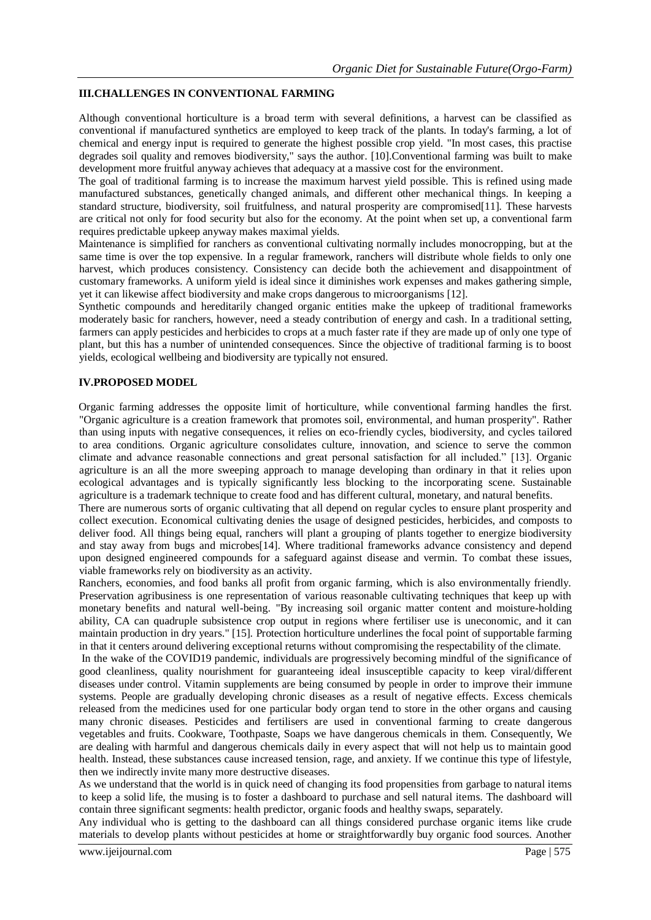## **III.CHALLENGES IN CONVENTIONAL FARMING**

Although conventional horticulture is a broad term with several definitions, a harvest can be classified as conventional if manufactured synthetics are employed to keep track of the plants. In today's farming, a lot of chemical and energy input is required to generate the highest possible crop yield. "In most cases, this practise degrades soil quality and removes biodiversity," says the author. [10].Conventional farming was built to make development more fruitful anyway achieves that adequacy at a massive cost for the environment.

The goal of traditional farming is to increase the maximum harvest yield possible. This is refined using made manufactured substances, genetically changed animals, and different other mechanical things. In keeping a standard structure, biodiversity, soil fruitfulness, and natural prosperity are compromised[11]. These harvests are critical not only for food security but also for the economy. At the point when set up, a conventional farm requires predictable upkeep anyway makes maximal yields.

Maintenance is simplified for ranchers as conventional cultivating normally includes monocropping, but at the same time is over the top expensive. In a regular framework, ranchers will distribute whole fields to only one harvest, which produces consistency. Consistency can decide both the achievement and disappointment of customary frameworks. A uniform yield is ideal since it diminishes work expenses and makes gathering simple, yet it can likewise affect biodiversity and make crops dangerous to microorganisms [12].

Synthetic compounds and hereditarily changed organic entities make the upkeep of traditional frameworks moderately basic for ranchers, however, need a steady contribution of energy and cash. In a traditional setting, farmers can apply pesticides and herbicides to crops at a much faster rate if they are made up of only one type of plant, but this has a number of unintended consequences. Since the objective of traditional farming is to boost yields, ecological wellbeing and biodiversity are typically not ensured.

## **IV.PROPOSED MODEL**

Organic farming addresses the opposite limit of horticulture, while conventional farming handles the first. "Organic agriculture is a creation framework that promotes soil, environmental, and human prosperity". Rather than using inputs with negative consequences, it relies on eco-friendly cycles, biodiversity, and cycles tailored to area conditions. Organic agriculture consolidates culture, innovation, and science to serve the common climate and advance reasonable connections and great personal satisfaction for all included." [13]. Organic agriculture is an all the more sweeping approach to manage developing than ordinary in that it relies upon ecological advantages and is typically significantly less blocking to the incorporating scene. Sustainable agriculture is a trademark technique to create food and has different cultural, monetary, and natural benefits.

There are numerous sorts of organic cultivating that all depend on regular cycles to ensure plant prosperity and collect execution. Economical cultivating denies the usage of designed pesticides, herbicides, and composts to deliver food. All things being equal, ranchers will plant a grouping of plants together to energize biodiversity and stay away from bugs and microbes[14]. Where traditional frameworks advance consistency and depend upon designed engineered compounds for a safeguard against disease and vermin. To combat these issues, viable frameworks rely on biodiversity as an activity.

Ranchers, economies, and food banks all profit from organic farming, which is also environmentally friendly. Preservation agribusiness is one representation of various reasonable cultivating techniques that keep up with monetary benefits and natural well-being. "By increasing soil organic matter content and moisture-holding ability, CA can quadruple subsistence crop output in regions where fertiliser use is uneconomic, and it can maintain production in dry years." [15]. Protection horticulture underlines the focal point of supportable farming in that it centers around delivering exceptional returns without compromising the respectability of the climate.

In the wake of the COVID19 pandemic, individuals are progressively becoming mindful of the significance of good cleanliness, quality nourishment for guaranteeing ideal insusceptible capacity to keep viral/different diseases under control. Vitamin supplements are being consumed by people in order to improve their immune systems. People are gradually developing chronic diseases as a result of negative effects. Excess chemicals released from the medicines used for one particular body organ tend to store in the other organs and causing many chronic diseases. Pesticides and fertilisers are used in conventional farming to create dangerous vegetables and fruits. Cookware, Toothpaste, Soaps we have dangerous chemicals in them. Consequently, We are dealing with harmful and dangerous chemicals daily in every aspect that will not help us to maintain good health. Instead, these substances cause increased tension, rage, and anxiety. If we continue this type of lifestyle, then we indirectly invite many more destructive diseases.

As we understand that the world is in quick need of changing its food propensities from garbage to natural items to keep a solid life, the musing is to foster a dashboard to purchase and sell natural items. The dashboard will contain three significant segments: health predictor, organic foods and healthy swaps, separately.

Any individual who is getting to the dashboard can all things considered purchase organic items like crude materials to develop plants without pesticides at home or straightforwardly buy organic food sources. Another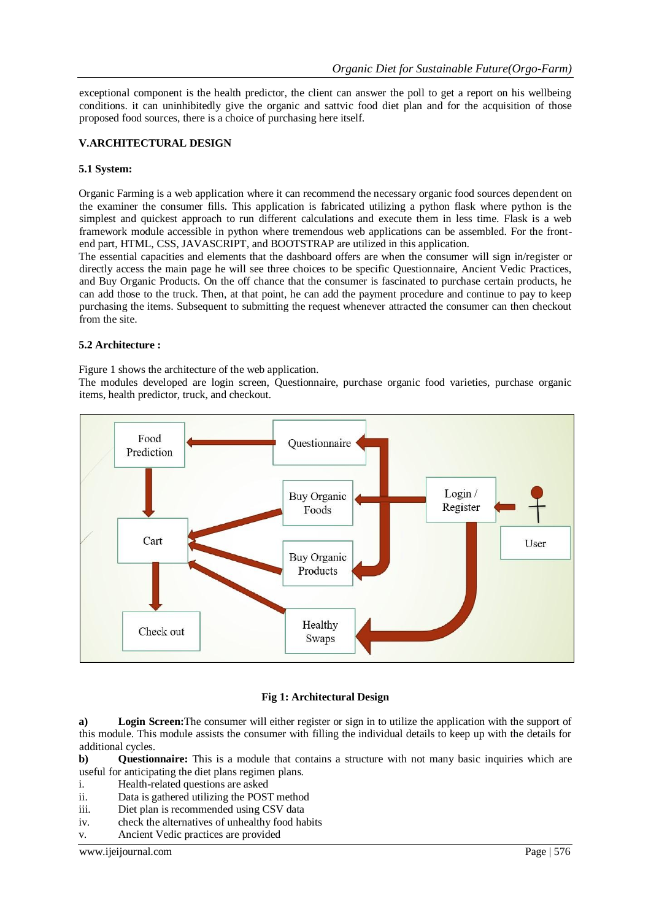exceptional component is the health predictor, the client can answer the poll to get a report on his wellbeing conditions. it can uninhibitedly give the organic and sattvic food diet plan and for the acquisition of those proposed food sources, there is a choice of purchasing here itself.

## **V.ARCHITECTURAL DESIGN**

## **5.1 System:**

Organic Farming is a web application where it can recommend the necessary organic food sources dependent on the examiner the consumer fills. This application is fabricated utilizing a python flask where python is the simplest and quickest approach to run different calculations and execute them in less time. Flask is a web framework module accessible in python where tremendous web applications can be assembled. For the frontend part, HTML, CSS, JAVASCRIPT, and BOOTSTRAP are utilized in this application.

The essential capacities and elements that the dashboard offers are when the consumer will sign in/register or directly access the main page he will see three choices to be specific Questionnaire, Ancient Vedic Practices, and Buy Organic Products. On the off chance that the consumer is fascinated to purchase certain products, he can add those to the truck. Then, at that point, he can add the payment procedure and continue to pay to keep purchasing the items. Subsequent to submitting the request whenever attracted the consumer can then checkout from the site.

## **5.2 Architecture :**

Figure 1 shows the architecture of the web application.

The modules developed are login screen, Questionnaire, purchase organic food varieties, purchase organic items, health predictor, truck, and checkout.



## **Fig 1: Architectural Design**

**a) Login Screen:**The consumer will either register or sign in to utilize the application with the support of this module. This module assists the consumer with filling the individual details to keep up with the details for additional cycles.

**b) Questionnaire:** This is a module that contains a structure with not many basic inquiries which are useful for anticipating the diet plans regimen plans.

- i. Health-related questions are asked
- ii. Data is gathered utilizing the POST method
- iii. Diet plan is recommended using CSV data
- iv. check the alternatives of unhealthy food habits
- v. Ancient Vedic practices are provided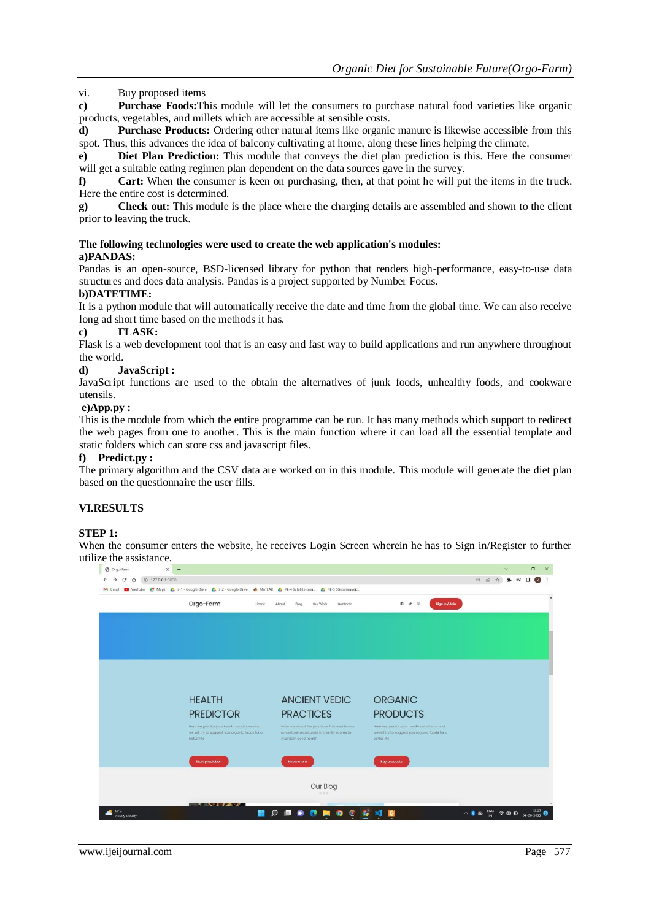www.ijeijournal.com Page | 577

*Organic Diet for Sustainable Future(Orgo-Farm)*

vi. Buy proposed items

**c) Purchase Foods:**This module will let the consumers to purchase natural food varieties like organic products, vegetables, and millets which are accessible at sensible costs.

**d) Purchase Products:** Ordering other natural items like organic manure is likewise accessible from this spot. Thus, this advances the idea of balcony cultivating at home, along these lines helping the climate.

**e) Diet Plan Prediction:** This module that conveys the diet plan prediction is this. Here the consumer will get a suitable eating regimen plan dependent on the data sources gave in the survey.

**f) Cart:** When the consumer is keen on purchasing, then, at that point he will put the items in the truck. Here the entire cost is determined.

**g) Check out:** This module is the place where the charging details are assembled and shown to the client prior to leaving the truck.

#### **The following technologies were used to create the web application's modules: a)PANDAS:**

Pandas is an open-source, BSD-licensed library for python that renders high-performance, easy-to-use data structures and does data analysis. Pandas is a project supported by Number Focus.

## **b)DATETIME:**

It is a python module that will automatically receive the date and time from the global time. We can also receive long ad short time based on the methods it has.

## **c) FLASK:**

Flask is a web development tool that is an easy and fast way to build applications and run anywhere throughout the world.

## **d) JavaScript :**

JavaScript functions are used to the obtain the alternatives of junk foods, unhealthy foods, and cookware utensils.

## **e)App.py :**

This is the module from which the entire programme can be run. It has many methods which support to redirect the web pages from one to another. This is the main function where it can load all the essential template and static folders which can store css and javascript files.

## **f) Predict.py :**

The primary algorithm and the CSV data are worked on in this module. This module will generate the diet plan based on the questionnaire the user fills.

## **VI.RESULTS**

#### **STEP 1:**

When the consumer enters the website, he receives Login Screen wherein he has to Sign in/Register to further utilize the assistance.

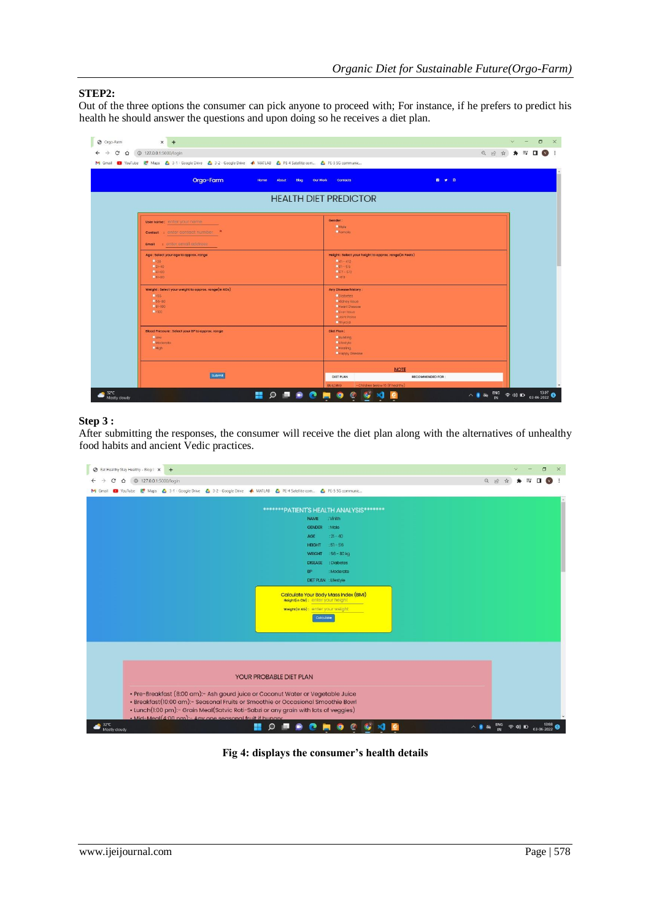## **STEP2:**

Out of the three options the consumer can pick anyone to proceed with; For instance, if he prefers to predict his health he should answer the questions and upon doing so he receives a diet plan.

| M Gmail 19 YouTube R Maps & 3-1 - Google Drive & 3-2 - Google Drive A MATLAB & PE-4 Satellite com & PE-5 SG communic |               |                                                                                                                                                       |  |
|----------------------------------------------------------------------------------------------------------------------|---------------|-------------------------------------------------------------------------------------------------------------------------------------------------------|--|
| Orgo-Farm                                                                                                            | Home<br>About | Our Work<br>Contacts<br>10 ₩ ©<br>Blog                                                                                                                |  |
|                                                                                                                      |               | <b>HEALTH DIET PREDICTOR</b>                                                                                                                          |  |
| User name: enter your name                                                                                           |               | Gender:<br><b>OMale</b>                                                                                                                               |  |
| <b>Contact</b> : enter contact number. *<br>: enter email address<br>Email                                           |               | Gremale                                                                                                                                               |  |
| Age : Select your age to approx. range<br>Q(20)<br>$-21 - 40$<br>$Q41 - B0$<br>$O81 - B0$                            |               | Height: Select your height to approx. range(in Feets)<br>$-41 - 412$<br>$-51 - 56$<br>$957 - 512$<br>$O = 60$                                         |  |
| Weight: Select your weight to approx. range(in KGs)<br>O <sub>c</sub> 55<br>$C66 - 80$<br>$Q81 - 100$<br>Фиоп        |               | Any Disease history:<br><b>O</b> Diabotes<br><b>Okidney Issue</b><br><b>CHeart Disease</b><br>Civer Issue<br><b>O Joint Pains</b><br><b>O</b> Thyroid |  |
| Blood Pressure : Select your BP to approx. range<br><b>Olow</b><br>Moderate<br><b>OHigh</b>                          |               | Diet Plan:<br><b>Building</b><br><b>O</b> lifestyle<br><b>O</b> Hoaling<br><b>Chappy Disease</b>                                                      |  |
| submit                                                                                                               |               | <b>NOTE</b><br>DIET PLAN<br><b>RECOMMENDED FOR:</b>                                                                                                   |  |

## **Step 3 :**

After submitting the responses, the consumer will receive the diet plan along with the alternatives of unhealthy food habits and ancient Vedic practices.

| <b>B</b> Eat Healthy Stay Healthy - Blog P X<br>$+$                                                       | σ                                                                        |
|-----------------------------------------------------------------------------------------------------------|--------------------------------------------------------------------------|
| <b>4</b> 127.0.0.1:5000/login<br>∩                                                                        | $Q \not\Rightarrow$                                                      |
| YouTube R Maps A 3-1 - Google Drive A 3-2 - Google Drive A MATLAB A PE-4 Satellite com A PE-5 5G communic |                                                                          |
|                                                                                                           |                                                                          |
| *******PATIENT'S HEALTH ANALYSIS*******                                                                   |                                                                          |
| <b>NAME</b><br>: Vinith                                                                                   |                                                                          |
| <b>GENDER</b><br>: Male                                                                                   |                                                                          |
| $: 21 - 40$<br><b>AGE</b>                                                                                 |                                                                          |
| $:51 - 56$<br><b>HEIGHT</b>                                                                               |                                                                          |
| $:56 - 80$ kg<br><b>WEIGHT</b>                                                                            |                                                                          |
| <b>DISEASE</b><br>: Diabetes                                                                              |                                                                          |
| <b>BP</b><br>Moderate                                                                                     |                                                                          |
| DIET PLAN : Lifestyle                                                                                     |                                                                          |
|                                                                                                           |                                                                          |
| <b>Calculate Your Body Mass Index (BMI)</b><br>Height(in CM): enter your height                           |                                                                          |
|                                                                                                           |                                                                          |
| <b>Weight(in KG): enter your weight</b>                                                                   |                                                                          |
| Calculate                                                                                                 |                                                                          |
|                                                                                                           |                                                                          |
|                                                                                                           |                                                                          |
|                                                                                                           |                                                                          |
|                                                                                                           |                                                                          |
|                                                                                                           |                                                                          |
| YOUR PROBABLE DIET PLAN                                                                                   |                                                                          |
|                                                                                                           |                                                                          |
| · Pre-Breakfast (8:00 am):- Ash gourd juice or Coconut Water or Vegetable Juice                           |                                                                          |
| · Breakfast(10:00 am):- Seasonal Fruits or Smoothie or Occasional Smoothie Bowl                           |                                                                          |
| • Lunch(1:00 pm):- Grain Meal(Satvic Roti-Sabzi or any grain with lots of veggies)                        |                                                                          |
| • Mid-Meal(4:00 pm) - Any one seasonal fruit if bungry                                                    |                                                                          |
| 32°C                                                                                                      | ENG<br>13:08<br>03-06-2022<br>$\Leftrightarrow$ $\circledcirc$ $\bullet$ |

**Fig 4: displays the consumer's health details**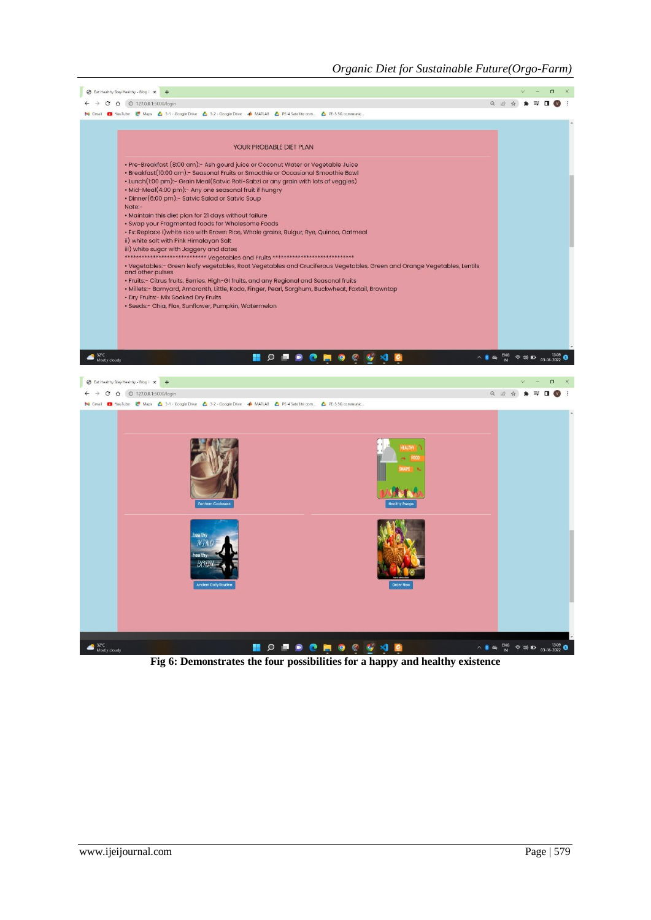

**Fig 6: Demonstrates the four possibilities for a happy and healthy existence**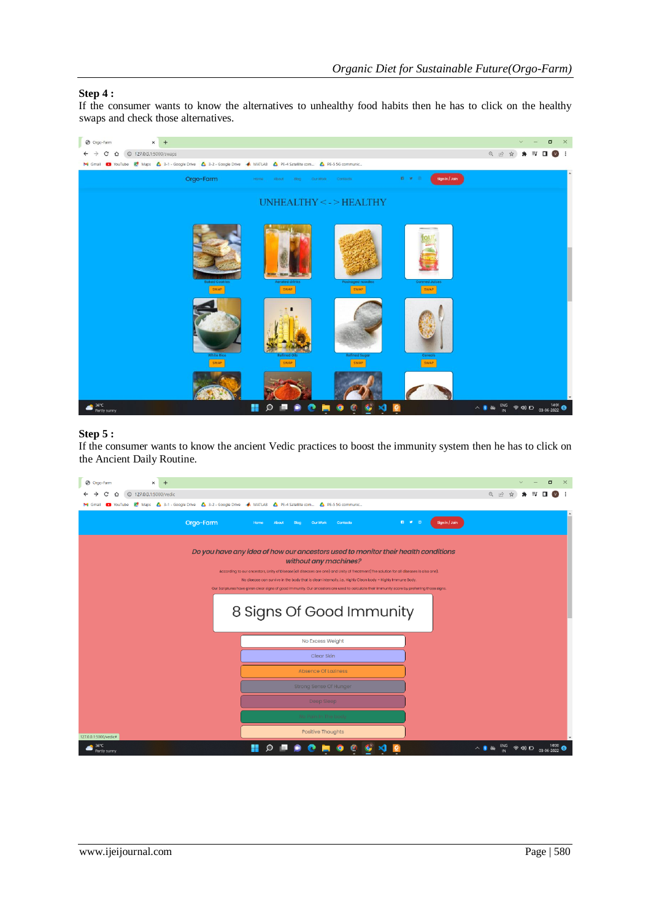## **Step 4 :**

If the consumer wants to know the alternatives to unhealthy food habits then he has to click on the healthy swaps and check those alternatives.



## **Step 5 :**

If the consumer wants to know the ancient Vedic practices to boost the immunity system then he has to click on the Ancient Daily Routine.

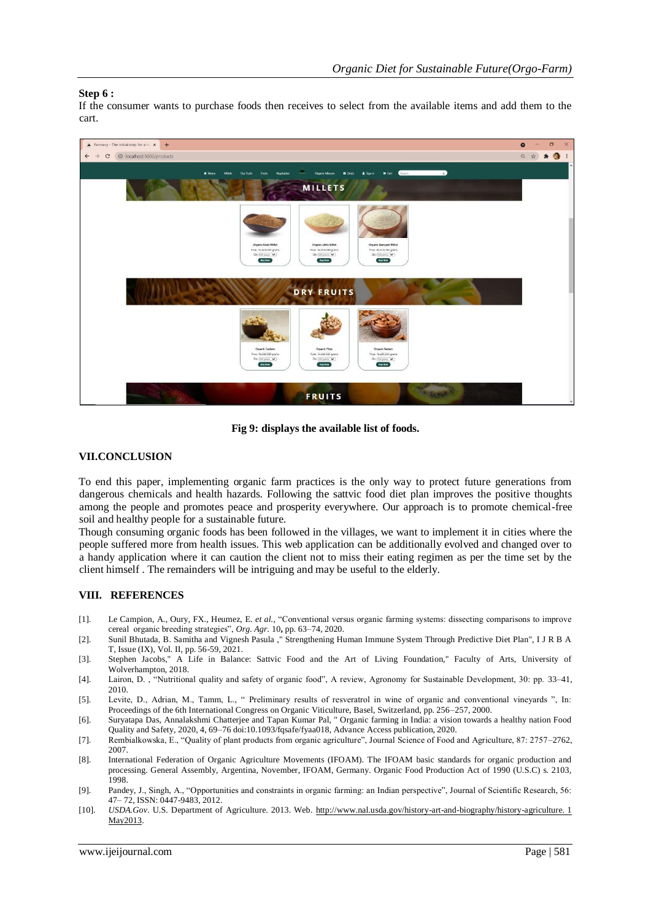## **Step 6 :**

If the consumer wants to purchase foods then receives to select from the available items and add them to the cart.



**Fig 9: displays the available list of foods.**

## **VII.CONCLUSION**

To end this paper, implementing organic farm practices is the only way to protect future generations from dangerous chemicals and health hazards. Following the sattvic food diet plan improves the positive thoughts among the people and promotes peace and prosperity everywhere. Our approach is to promote chemical-free soil and healthy people for a sustainable future.

Though consuming organic foods has been followed in the villages, we want to implement it in cities where the people suffered more from health issues. This web application can be additionally evolved and changed over to a handy application where it can caution the client not to miss their eating regimen as per the time set by the client himself . The remainders will be intriguing and may be useful to the elderly.

## **VIII. REFERENCES**

- [1]. Le Campion, A., Oury, FX., Heumez, E. *et al.,* "Conventional versus organic farming systems: dissecting comparisons to improve cereal organic breeding strategies", *Org. Agr.* 10**,** pp. 63–74, 2020.
- [2]. Sunil Bhutada, B. Samitha and Vignesh Pasula ," Strengthening Human Immune System Through Predictive Diet Plan", I J R B A T, Issue (IX), Vol. II, pp. 56-59, 2021.
- [3]. Stephen Jacobs," A Life in Balance: Sattvic Food and the Art of Living Foundation," Faculty of Arts, University of Wolverhampton, 2018.
- [4]. Lairon, D. , "Nutritional quality and safety of organic food", A review, Agronomy for Sustainable Development, 30: pp. 33–41, 2010.
- [5]. Levite, D., Adrian, M., Tamm, L., " Preliminary results of resveratrol in wine of organic and conventional vineyards ", In: Proceedings of the 6th International Congress on Organic Viticulture, Basel, Switzerland, pp. 256–257, 2000.
- [6]. Suryatapa Das, Annalakshmi Chatterjee and Tapan Kumar Pal, " Organic farming in India: a vision towards a healthy nation Food Quality and Safety, 2020, 4, 69–76 doi:10.1093/fqsafe/fyaa018, Advance Access publication, 2020.
- [7]. Rembialkowska, E., "Quality of plant products from organic agriculture", Journal Science of Food and Agriculture, 87: 2757–2762, 2007.
- [8]. International Federation of Organic Agriculture Movements (IFOAM). The IFOAM basic standards for organic production and processing. General Assembly, Argentina, November, IFOAM, Germany. Organic Food Production Act of 1990 (U.S.C) s. 2103, 1998.
- [9]. Pandey, J., Singh, A., "Opportunities and constraints in organic farming: an Indian perspective", Journal of Scientific Research, 56: 47– 72, ISSN: 0447-9483, 2012.
- [10]. *USDA.Gov*. U.S. Department of Agriculture. 2013. We[b. http://www.nal.usda.gov/history-art-and-biography/history-agriculture. 1](http://www.nal.usda.gov/history-art-and-biography/history-agriculture.%201%20May%202013)  Ma[y2013.](http://www.nal.usda.gov/history-art-and-biography/history-agriculture.%201%20May%202013)